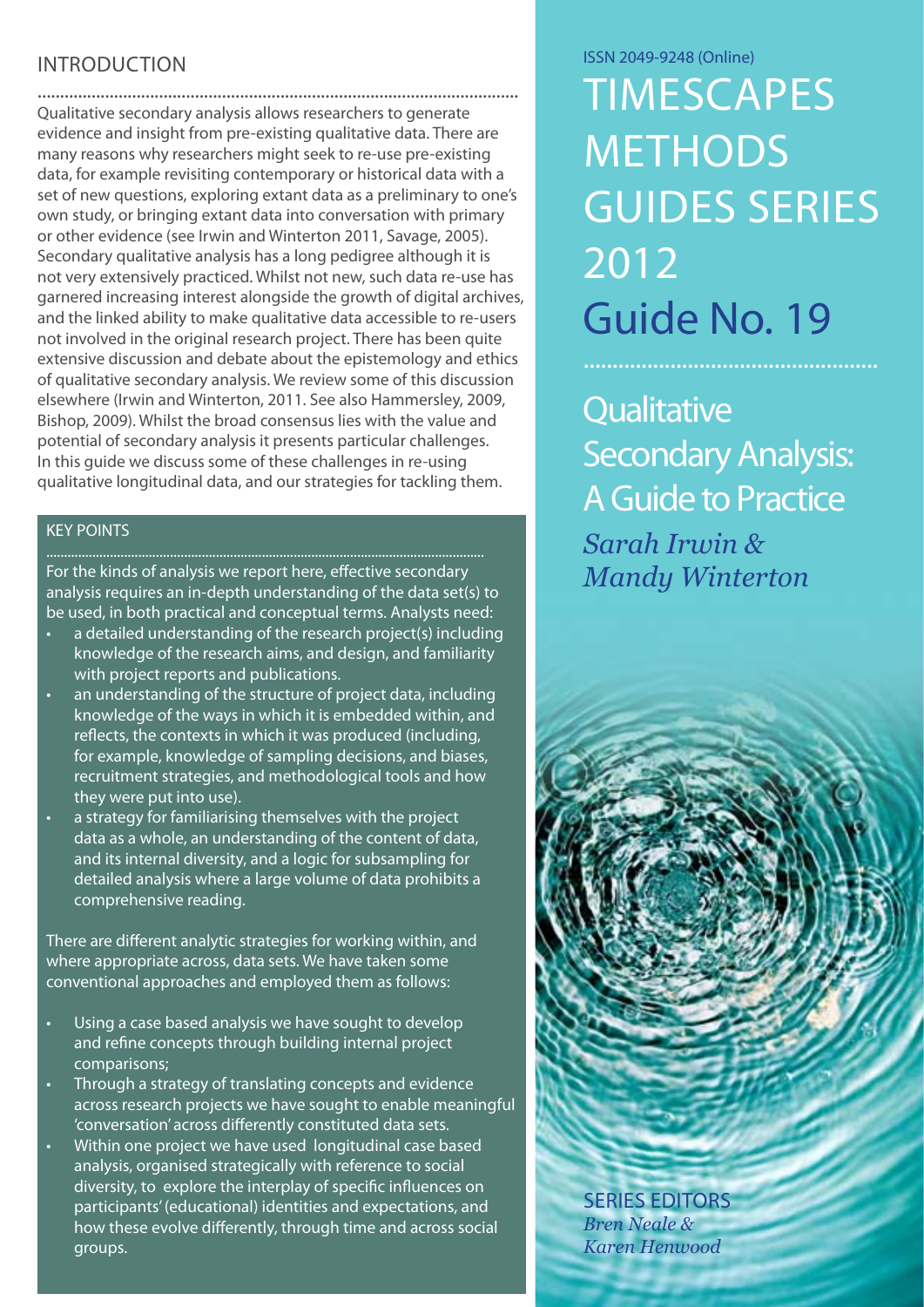# **INTRODUCTION**

........................................................................................................... Qualitative secondary analysis allows researchers to generate evidence and insight from pre-existing qualitative data. There are many reasons why researchers might seek to re-use pre-existing data, for example revisiting contemporary or historical data with a set of new questions, exploring extant data as a preliminary to one's own study, or bringing extant data into conversation with primary or other evidence (see Irwin and Winterton 2011, Savage, 2005). Secondary qualitative analysis has a long pedigree although it is not very extensively practiced. Whilst not new, such data re-use has garnered increasing interest alongside the growth of digital archives, and the linked ability to make qualitative data accessible to re-users not involved in the original research project. There has been quite extensive discussion and debate about the epistemology and ethics of qualitative secondary analysis. We review some of this discussion elsewhere (Irwin and Winterton, 2011. See also Hammersley, 2009, Bishop, 2009). Whilst the broad consensus lies with the value and potential of secondary analysis it presents particular challenges. In this guide we discuss some of these challenges in re-using qualitative longitudinal data, and our strategies for tackling them.

#### KEY POINTS

For the kinds of analysis we report here, effective secondary analysis requires an in-depth understanding of the data set(s) to be used, in both practical and conceptual terms. Analysts need:

- a detailed understanding of the research project(s) including knowledge of the research aims, and design, and familiarity with project reports and publications.
- an understanding of the structure of project data, including knowledge of the ways in which it is embedded within, and reflects, the contexts in which it was produced (including, for example, knowledge of sampling decisions, and biases, recruitment strategies, and methodological tools and how they were put into use).
- a strategy for familiarising themselves with the project data as a whole, an understanding of the content of data, and its internal diversity, and a logic for subsampling for detailed analysis where a large volume of data prohibits a comprehensive reading.

There are different analytic strategies for working within, and where appropriate across, data sets. We have taken some conventional approaches and employed them as follows:

- Using a case based analysis we have sought to develop and refine concepts through building internal project comparisons;
- Through a strategy of translating concepts and evidence across research projects we have sought to enable meaningful 'conversation' across differently constituted data sets.
- Within one project we have used longitudinal case based analysis, organised strategically with reference to social diversity, to explore the interplay of specific influences on participants' (educational) identities and expectations, and how these evolve differently, through time and across social groups.

ISSN 2049-9248 (Online)

**TIMESCAPES METHODS** Guides Series 2012 Guide No. 19

**Qualitative** Secondary Analysis: A Guide to Practice *Sarah Irwin & Mandy Winterton*

Series Editors *Bren Neale & Karen Henwood*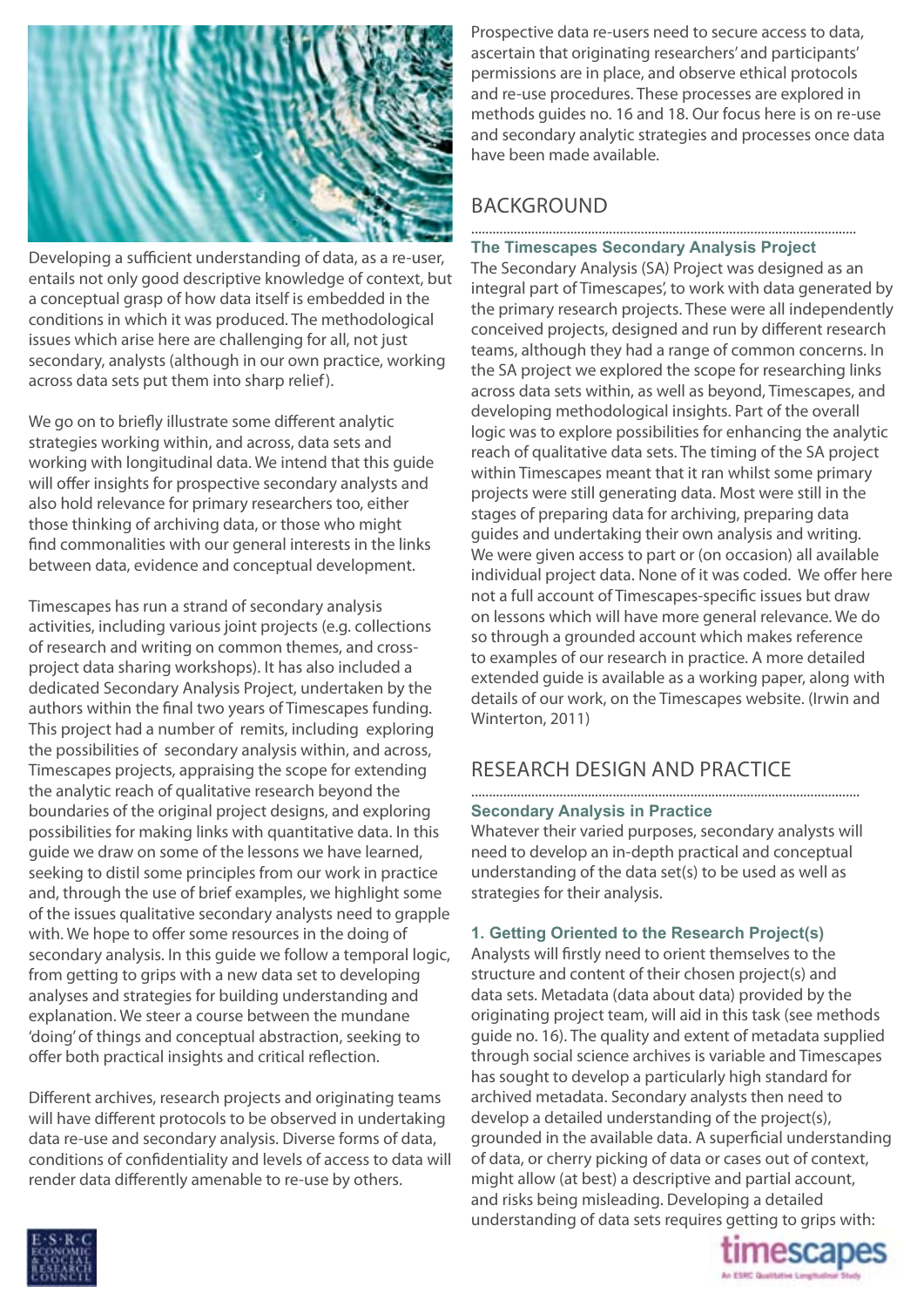

Developing a sufficient understanding of data, as a re-user, entails not only good descriptive knowledge of context, but a conceptual grasp of how data itself is embedded in the conditions in which it was produced. The methodological issues which arise here are challenging for all, not just secondary, analysts (although in our own practice, working across data sets put them into sharp relief).

We go on to briefly illustrate some different analytic strategies working within, and across, data sets and working with longitudinal data. We intend that this guide will offer insights for prospective secondary analysts and also hold relevance for primary researchers too, either those thinking of archiving data, or those who might find commonalities with our general interests in the links between data, evidence and conceptual development.

Timescapes has run a strand of secondary analysis activities, including various joint projects (e.g. collections of research and writing on common themes, and crossproject data sharing workshops). It has also included a dedicated Secondary Analysis Project, undertaken by the authors within the final two years of Timescapes funding. This project had a number of remits, including exploring the possibilities of secondary analysis within, and across, Timescapes projects, appraising the scope for extending the analytic reach of qualitative research beyond the boundaries of the original project designs, and exploring possibilities for making links with quantitative data. In this guide we draw on some of the lessons we have learned, seeking to distil some principles from our work in practice and, through the use of brief examples, we highlight some of the issues qualitative secondary analysts need to grapple with. We hope to offer some resources in the doing of secondary analysis. In this guide we follow a temporal logic, from getting to grips with a new data set to developing analyses and strategies for building understanding and explanation. We steer a course between the mundane 'doing' of things and conceptual abstraction, seeking to offer both practical insights and critical reflection.

Different archives, research projects and originating teams will have different protocols to be observed in undertaking data re-use and secondary analysis. Diverse forms of data, conditions of confidentiality and levels of access to data will render data differently amenable to re-use by others.

Prospective data re-users need to secure access to data, ascertain that originating researchers' and participants' permissions are in place, and observe ethical protocols and re-use procedures. These processes are explored in methods guides no. 16 and 18. Our focus here is on re-use and secondary analytic strategies and processes once data have been made available.

# **BACKGROUND**

#### ............................................................................................................. **The Timescapes Secondary Analysis Project**

The Secondary Analysis (SA) Project was designed as an integral part of Timescapes', to work with data generated by the primary research projects. These were all independently conceived projects, designed and run by different research teams, although they had a range of common concerns. In the SA project we explored the scope for researching links across data sets within, as well as beyond, Timescapes, and developing methodological insights. Part of the overall logic was to explore possibilities for enhancing the analytic reach of qualitative data sets. The timing of the SA project within Timescapes meant that it ran whilst some primary projects were still generating data. Most were still in the stages of preparing data for archiving, preparing data guides and undertaking their own analysis and writing. We were given access to part or (on occasion) all available individual project data. None of it was coded. We offer here not a full account of Timescapes-specific issues but draw on lessons which will have more general relevance. We do so through a grounded account which makes reference to examples of our research in practice. A more detailed extended guide is available as a working paper, along with details of our work, on the Timescapes website. (Irwin and Winterton, 2011)

# RESEARCH DESIGN AND PRACTICE

#### **Secondary Analysis in Practice**

Whatever their varied purposes, secondary analysts will need to develop an in-depth practical and conceptual understanding of the data set(s) to be used as well as strategies for their analysis.

#### **1. Getting Oriented to the Research Project(s)**

Analysts will firstly need to orient themselves to the structure and content of their chosen project(s) and data sets. Metadata (data about data) provided by the originating project team, will aid in this task (see methods guide no. 16). The quality and extent of metadata supplied through social science archives is variable and Timescapes has sought to develop a particularly high standard for archived metadata. Secondary analysts then need to develop a detailed understanding of the project(s), grounded in the available data. A superficial understanding of data, or cherry picking of data or cases out of context, might allow (at best) a descriptive and partial account, and risks being misleading. Developing a detailed understanding of data sets requires getting to grips with:



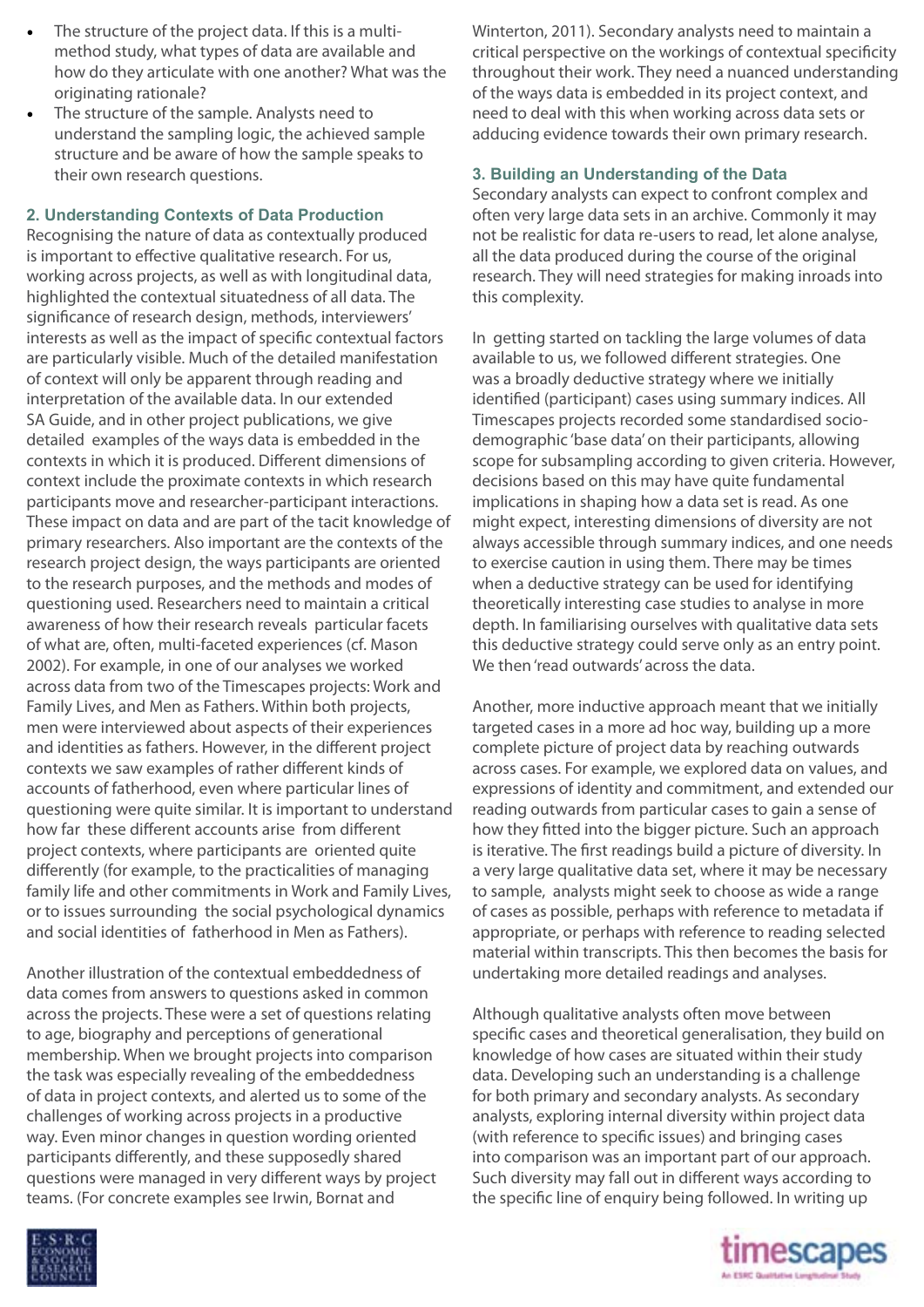- The structure of the project data. If this is a multimethod study, what types of data are available and how do they articulate with one another? What was the originating rationale?
- The structure of the sample. Analysts need to understand the sampling logic, the achieved sample structure and be aware of how the sample speaks to their own research questions.

#### **2. Understanding Contexts of Data Production**

Recognising the nature of data as contextually produced is important to effective qualitative research. For us, working across projects, as well as with longitudinal data, highlighted the contextual situatedness of all data. The significance of research design, methods, interviewers' interests as well as the impact of specific contextual factors are particularly visible. Much of the detailed manifestation of context will only be apparent through reading and interpretation of the available data. In our extended SA Guide, and in other project publications, we give detailed examples of the ways data is embedded in the contexts in which it is produced. Different dimensions of context include the proximate contexts in which research participants move and researcher-participant interactions. These impact on data and are part of the tacit knowledge of primary researchers. Also important are the contexts of the research project design, the ways participants are oriented to the research purposes, and the methods and modes of questioning used. Researchers need to maintain a critical awareness of how their research reveals particular facets of what are, often, multi-faceted experiences (cf. Mason 2002). For example, in one of our analyses we worked across data from two of the Timescapes projects: Work and Family Lives, and Men as Fathers. Within both projects, men were interviewed about aspects of their experiences and identities as fathers. However, in the different project contexts we saw examples of rather different kinds of accounts of fatherhood, even where particular lines of questioning were quite similar. It is important to understand how far these different accounts arise from different project contexts, where participants are oriented quite differently (for example, to the practicalities of managing family life and other commitments in Work and Family Lives, or to issues surrounding the social psychological dynamics and social identities of fatherhood in Men as Fathers).

Another illustration of the contextual embeddedness of data comes from answers to questions asked in common across the projects. These were a set of questions relating to age, biography and perceptions of generational membership. When we brought projects into comparison the task was especially revealing of the embeddedness of data in project contexts, and alerted us to some of the challenges of working across projects in a productive way. Even minor changes in question wording oriented participants differently, and these supposedly shared questions were managed in very different ways by project teams. (For concrete examples see Irwin, Bornat and

Winterton, 2011). Secondary analysts need to maintain a critical perspective on the workings of contextual specificity throughout their work. They need a nuanced understanding of the ways data is embedded in its project context, and need to deal with this when working across data sets or adducing evidence towards their own primary research.

### **3. Building an Understanding of the Data**

Secondary analysts can expect to confront complex and often very large data sets in an archive. Commonly it may not be realistic for data re-users to read, let alone analyse, all the data produced during the course of the original research. They will need strategies for making inroads into this complexity.

In getting started on tackling the large volumes of data available to us, we followed different strategies. One was a broadly deductive strategy where we initially identified (participant) cases using summary indices. All Timescapes projects recorded some standardised sociodemographic 'base data' on their participants, allowing scope for subsampling according to given criteria. However, decisions based on this may have quite fundamental implications in shaping how a data set is read. As one might expect, interesting dimensions of diversity are not always accessible through summary indices, and one needs to exercise caution in using them. There may be times when a deductive strategy can be used for identifying theoretically interesting case studies to analyse in more depth. In familiarising ourselves with qualitative data sets this deductive strategy could serve only as an entry point. We then 'read outwards' across the data.

Another, more inductive approach meant that we initially targeted cases in a more ad hoc way, building up a more complete picture of project data by reaching outwards across cases. For example, we explored data on values, and expressions of identity and commitment, and extended our reading outwards from particular cases to gain a sense of how they fitted into the bigger picture. Such an approach is iterative. The first readings build a picture of diversity. In a very large qualitative data set, where it may be necessary to sample, analysts might seek to choose as wide a range of cases as possible, perhaps with reference to metadata if appropriate, or perhaps with reference to reading selected material within transcripts. This then becomes the basis for undertaking more detailed readings and analyses.

Although qualitative analysts often move between specific cases and theoretical generalisation, they build on knowledge of how cases are situated within their study data. Developing such an understanding is a challenge for both primary and secondary analysts. As secondary analysts, exploring internal diversity within project data (with reference to specific issues) and bringing cases into comparison was an important part of our approach. Such diversity may fall out in different ways according to the specific line of enquiry being followed. In writing up



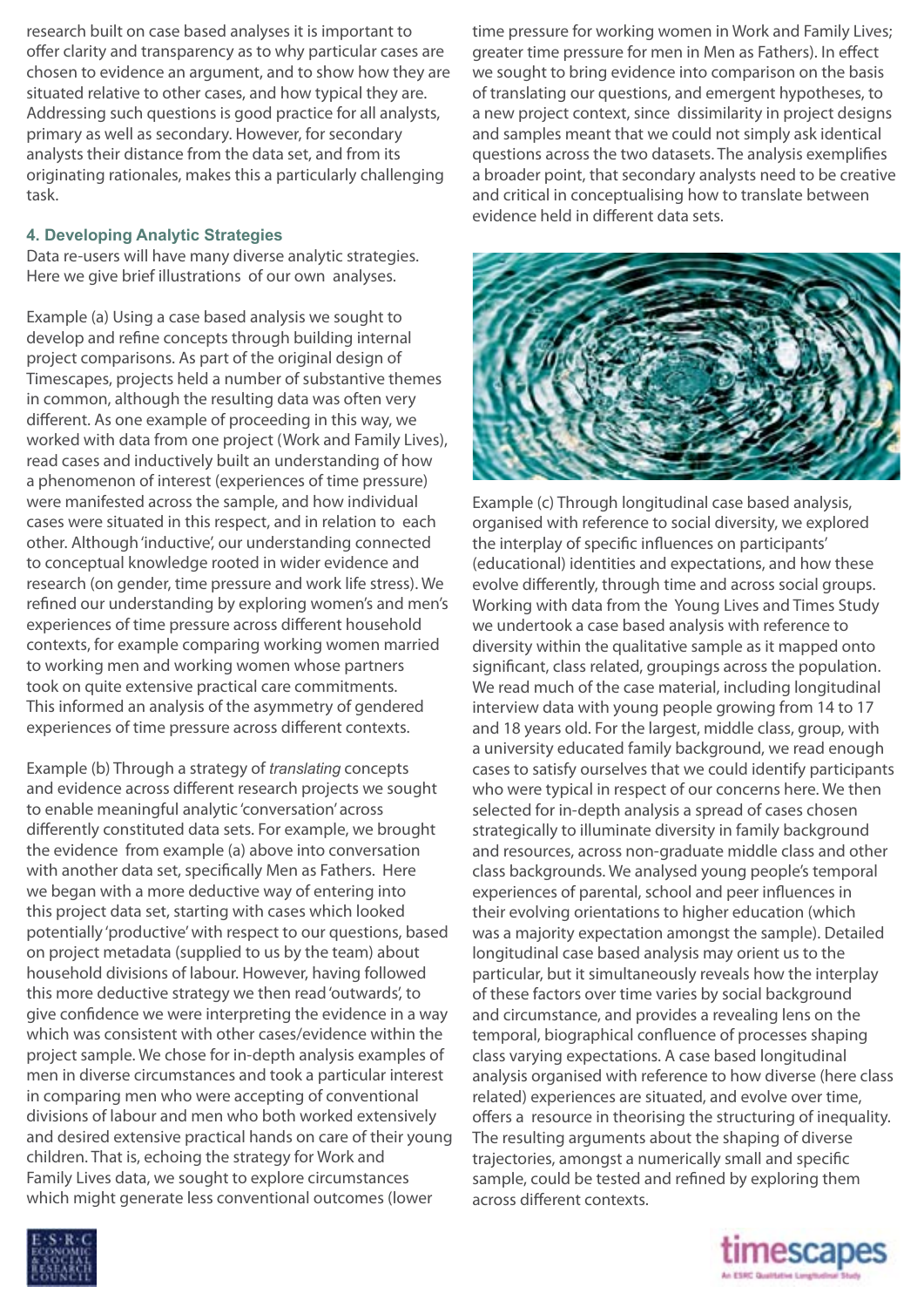research built on case based analyses it is important to offer clarity and transparency as to why particular cases are chosen to evidence an argument, and to show how they are situated relative to other cases, and how typical they are. Addressing such questions is good practice for all analysts, primary as well as secondary. However, for secondary analysts their distance from the data set, and from its originating rationales, makes this a particularly challenging task.

#### **4. Developing Analytic Strategies**

Data re-users will have many diverse analytic strategies. Here we give brief illustrations of our own analyses.

Example (a) Using a case based analysis we sought to develop and refine concepts through building internal project comparisons. As part of the original design of Timescapes, projects held a number of substantive themes in common, although the resulting data was often very different. As one example of proceeding in this way, we worked with data from one project (Work and Family Lives), read cases and inductively built an understanding of how a phenomenon of interest (experiences of time pressure) were manifested across the sample, and how individual cases were situated in this respect, and in relation to each other. Although 'inductive', our understanding connected to conceptual knowledge rooted in wider evidence and research (on gender, time pressure and work life stress). We refined our understanding by exploring women's and men's experiences of time pressure across different household contexts, for example comparing working women married to working men and working women whose partners took on quite extensive practical care commitments. This informed an analysis of the asymmetry of gendered experiences of time pressure across different contexts.

Example (b) Through a strategy of *translating* concepts and evidence across different research projects we sought to enable meaningful analytic 'conversation' across differently constituted data sets. For example, we brought the evidence from example (a) above into conversation with another data set, specifically Men as Fathers. Here we began with a more deductive way of entering into this project data set, starting with cases which looked potentially 'productive' with respect to our questions, based on project metadata (supplied to us by the team) about household divisions of labour. However, having followed this more deductive strategy we then read 'outwards', to give confidence we were interpreting the evidence in a way which was consistent with other cases/evidence within the project sample. We chose for in-depth analysis examples of men in diverse circumstances and took a particular interest in comparing men who were accepting of conventional divisions of labour and men who both worked extensively and desired extensive practical hands on care of their young children. That is, echoing the strategy for Work and Family Lives data, we sought to explore circumstances which might generate less conventional outcomes (lower

time pressure for working women in Work and Family Lives; greater time pressure for men in Men as Fathers). In effect we sought to bring evidence into comparison on the basis of translating our questions, and emergent hypotheses, to a new project context, since dissimilarity in project designs and samples meant that we could not simply ask identical questions across the two datasets. The analysis exemplifies a broader point, that secondary analysts need to be creative and critical in conceptualising how to translate between evidence held in different data sets.



Example (c) Through longitudinal case based analysis, organised with reference to social diversity, we explored the interplay of specific influences on participants' (educational) identities and expectations, and how these evolve differently, through time and across social groups. Working with data from the Young Lives and Times Study we undertook a case based analysis with reference to diversity within the qualitative sample as it mapped onto significant, class related, groupings across the population. We read much of the case material, including longitudinal interview data with young people growing from 14 to 17 and 18 years old. For the largest, middle class, group, with a university educated family background, we read enough cases to satisfy ourselves that we could identify participants who were typical in respect of our concerns here. We then selected for in-depth analysis a spread of cases chosen strategically to illuminate diversity in family background and resources, across non-graduate middle class and other class backgrounds. We analysed young people's temporal experiences of parental, school and peer influences in their evolving orientations to higher education (which was a majority expectation amongst the sample). Detailed longitudinal case based analysis may orient us to the particular, but it simultaneously reveals how the interplay of these factors over time varies by social background and circumstance, and provides a revealing lens on the temporal, biographical confluence of processes shaping class varying expectations. A case based longitudinal analysis organised with reference to how diverse (here class related) experiences are situated, and evolve over time, offers a resource in theorising the structuring of inequality. The resulting arguments about the shaping of diverse trajectories, amongst a numerically small and specific sample, could be tested and refined by exploring them across different contexts.